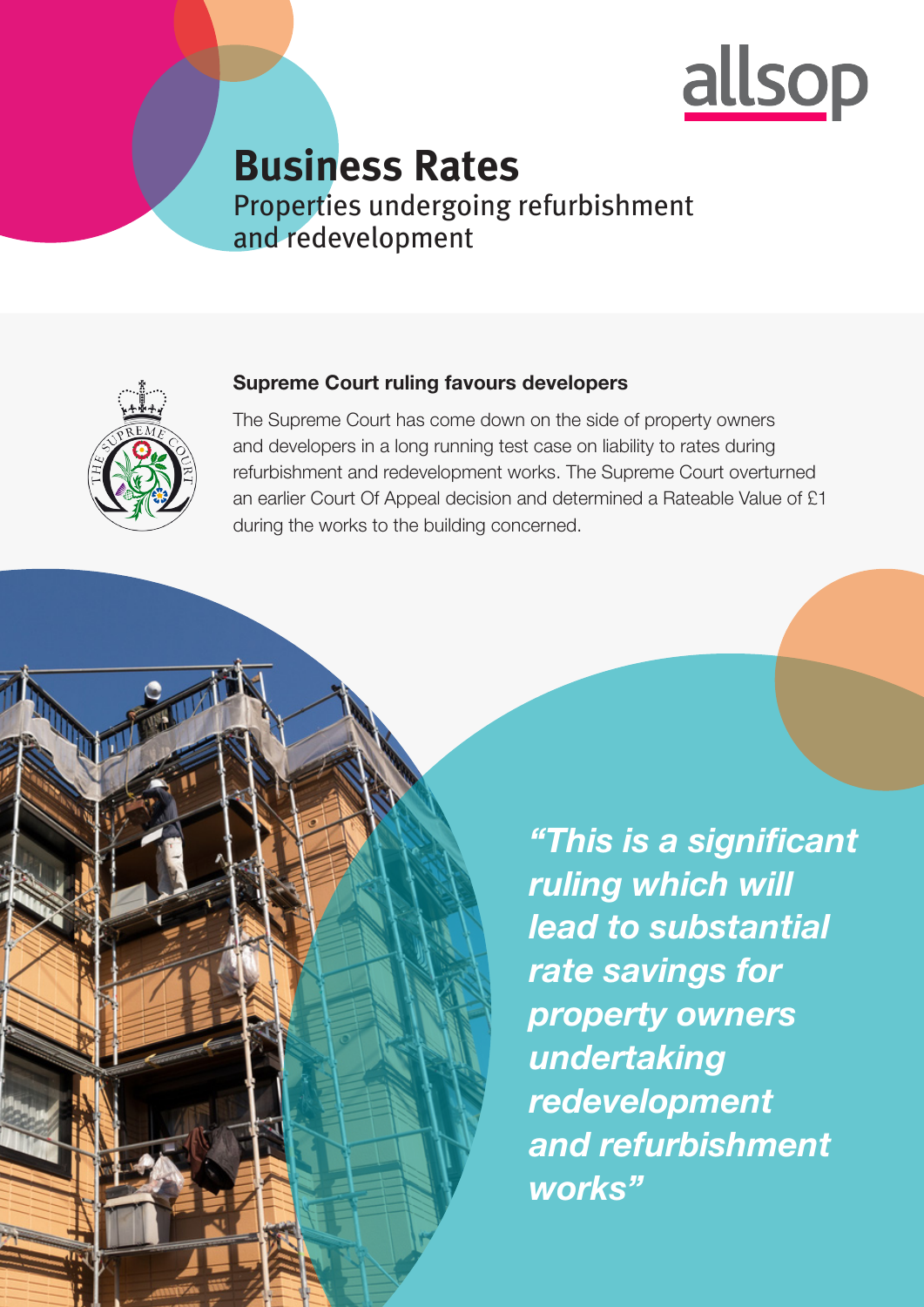

# **Business Rates**  Properties undergoing refurbishment and redevelopment



#### Supreme Court ruling favours developers

The Supreme Court has come down on the side of property owners and developers in a long running test case on liability to rates during refurbishment and redevelopment works. The Supreme Court overturned an earlier Court Of Appeal decision and determined a Rateable Value of £1 during the works to the building concerned.

> *"This is a significant ruling which will lead to substantial rate savings for property owners undertaking redevelopment and refurbishment works"*